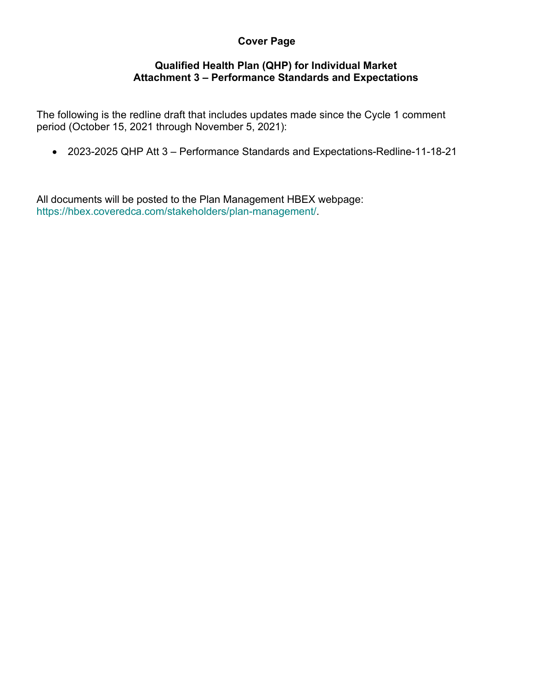# **Cover Page**

#### **Qualified Health Plan (QHP) for Individual Market Attachment 3 – Performance Standards and Expectations**

The following is the redline draft that includes updates made since the Cycle 1 comment period (October 15, 2021 through November 5, 2021):

• 2023-2025 QHP Att 3 – Performance Standards and Expectations-Redline-11-18-21

All documents will be posted to the Plan Management HBEX webpage: https://hbex.coveredca.com/stakeholders/plan-management/.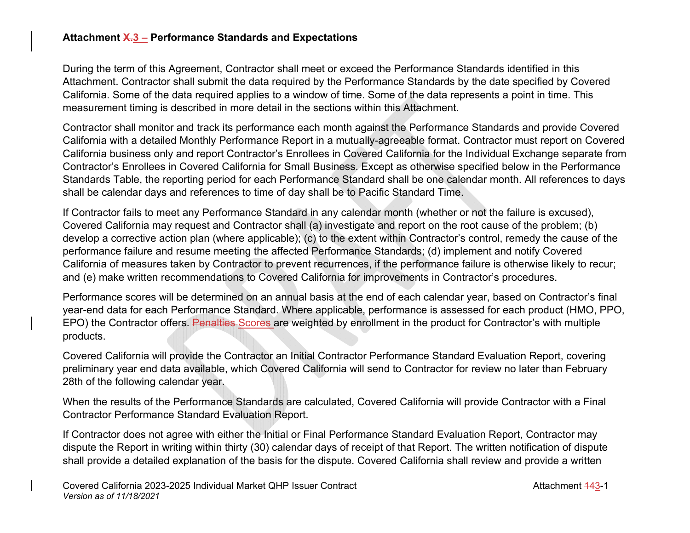## **Attachment X.3 – Performance Standards and Expectations**

During the term of this Agreement, Contractor shall meet or exceed the Performance Standards identified in this Attachment. Contractor shall submit the data required by the Performance Standards by the date specified by Covered California. Some of the data required applies to a window of time. Some of the data represents a point in time. This measurement timing is described in more detail in the sections within this Attachment.

Contractor shall monitor and track its performance each month against the Performance Standards and provide Covered California with a detailed Monthly Performance Report in a mutually-agreeable format. Contractor must report on Covered California business only and report Contractor's Enrollees in Covered California for the Individual Exchange separate from Contractor's Enrollees in Covered California for Small Business. Except as otherwise specified below in the Performance Standards Table, the reporting period for each Performance Standard shall be one calendar month. All references to days shall be calendar days and references to time of day shall be to Pacific Standard Time.

If Contractor fails to meet any Performance Standard in any calendar month (whether or not the failure is excused), Covered California may request and Contractor shall (a) investigate and report on the root cause of the problem; (b) develop a corrective action plan (where applicable); (c) to the extent within Contractor's control, remedy the cause of the performance failure and resume meeting the affected Performance Standards; (d) implement and notify Covered California of measures taken by Contractor to prevent recurrences, if the performance failure is otherwise likely to recur; and (e) make written recommendations to Covered California for improvements in Contractor's procedures.

Performance scores will be determined on an annual basis at the end of each calendar year, based on Contractor's final year-end data for each Performance Standard. Where applicable, performance is assessed for each product (HMO, PPO, EPO) the Contractor offers. Penalties Scores are weighted by enrollment in the product for Contractor's with multiple products.

Covered California will provide the Contractor an Initial Contractor Performance Standard Evaluation Report, covering preliminary year end data available, which Covered California will send to Contractor for review no later than February 28th of the following calendar year.

When the results of the Performance Standards are calculated, Covered California will provide Contractor with a Final Contractor Performance Standard Evaluation Report.

If Contractor does not agree with either the Initial or Final Performance Standard Evaluation Report, Contractor may dispute the Report in writing within thirty (30) calendar days of receipt of that Report. The written notification of dispute shall provide a detailed explanation of the basis for the dispute. Covered California shall review and provide a written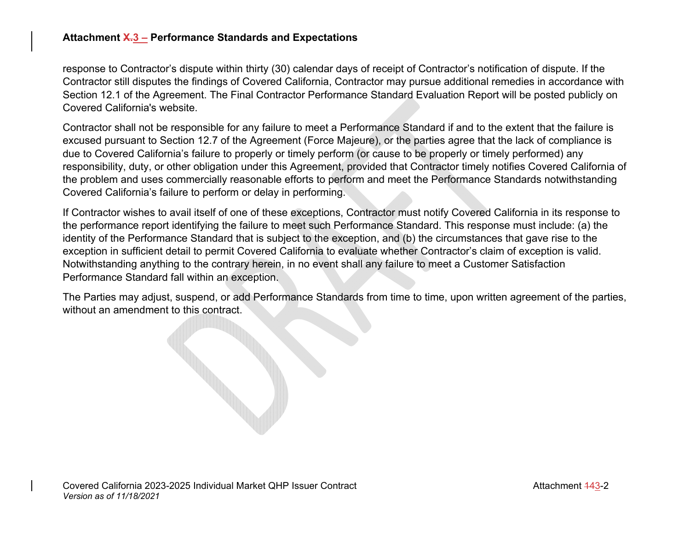#### **Attachment X.3 – Performance Standards and Expectations**

response to Contractor's dispute within thirty (30) calendar days of receipt of Contractor's notification of dispute. If the Contractor still disputes the findings of Covered California, Contractor may pursue additional remedies in accordance with Section 12.1 of the Agreement. The Final Contractor Performance Standard Evaluation Report will be posted publicly on Covered California's website.

Contractor shall not be responsible for any failure to meet a Performance Standard if and to the extent that the failure is excused pursuant to Section 12.7 of the Agreement (Force Majeure), or the parties agree that the lack of compliance is due to Covered California's failure to properly or timely perform (or cause to be properly or timely performed) any responsibility, duty, or other obligation under this Agreement, provided that Contractor timely notifies Covered California of the problem and uses commercially reasonable efforts to perform and meet the Performance Standards notwithstanding Covered California's failure to perform or delay in performing.

If Contractor wishes to avail itself of one of these exceptions, Contractor must notify Covered California in its response to the performance report identifying the failure to meet such Performance Standard. This response must include: (a) the identity of the Performance Standard that is subject to the exception, and (b) the circumstances that gave rise to the exception in sufficient detail to permit Covered California to evaluate whether Contractor's claim of exception is valid. Notwithstanding anything to the contrary herein, in no event shall any failure to meet a Customer Satisfaction Performance Standard fall within an exception.

The Parties may adjust, suspend, or add Performance Standards from time to time, upon written agreement of the parties, without an amendment to this contract.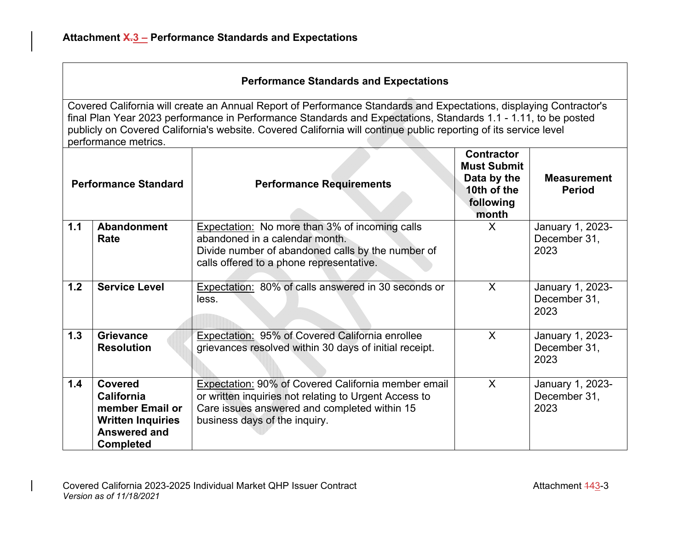| <b>Performance Standard</b> |                                                                                                                               | <b>Performance Requirements</b>                                                                                                                                                                      | <b>Contractor</b><br><b>Must Submit</b><br>Data by the<br>10th of the<br>following<br>month | <b>Measurement</b><br><b>Period</b>      |
|-----------------------------|-------------------------------------------------------------------------------------------------------------------------------|------------------------------------------------------------------------------------------------------------------------------------------------------------------------------------------------------|---------------------------------------------------------------------------------------------|------------------------------------------|
| 1.1                         | <b>Abandonment</b><br>Rate                                                                                                    | <b>Expectation:</b> No more than 3% of incoming calls<br>abandoned in a calendar month.<br>Divide number of abandoned calls by the number of<br>calls offered to a phone representative.             | X                                                                                           | January 1, 2023-<br>December 31,<br>2023 |
| 1.2                         | <b>Service Level</b>                                                                                                          | Expectation: 80% of calls answered in 30 seconds or<br>less.                                                                                                                                         | X                                                                                           | January 1, 2023-<br>December 31,<br>2023 |
| 1.3                         | <b>Grievance</b><br><b>Resolution</b>                                                                                         | Expectation: 95% of Covered California enrollee<br>grievances resolved within 30 days of initial receipt.                                                                                            | X                                                                                           | January 1, 2023-<br>December 31,<br>2023 |
| 1.4                         | <b>Covered</b><br><b>California</b><br>member Email or<br><b>Written Inquiries</b><br><b>Answered and</b><br><b>Completed</b> | <b>Expectation: 90% of Covered California member email</b><br>or written inquiries not relating to Urgent Access to<br>Care issues answered and completed within 15<br>business days of the inquiry. | $\mathsf{X}$                                                                                | January 1, 2023-<br>December 31,<br>2023 |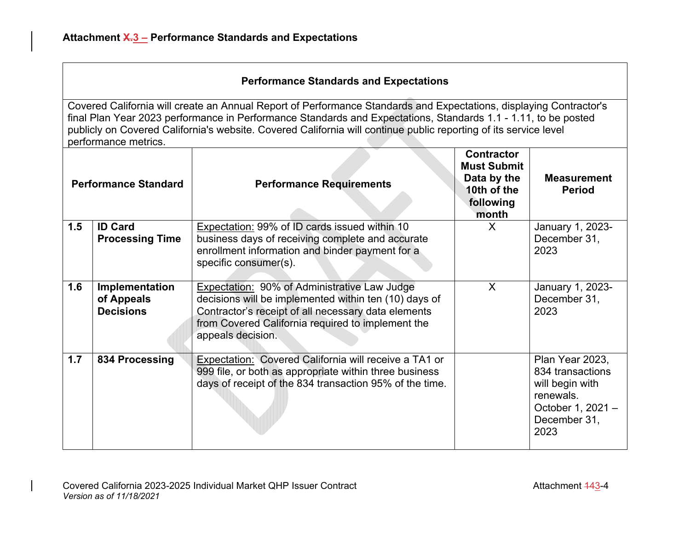| <b>Performance Standard</b> |                                                  | <b>Performance Requirements</b>                                                                                                                                                                                                        | <b>Contractor</b><br><b>Must Submit</b><br>Data by the<br>10th of the<br>following<br>month | <b>Measurement</b><br><b>Period</b>                                                                              |
|-----------------------------|--------------------------------------------------|----------------------------------------------------------------------------------------------------------------------------------------------------------------------------------------------------------------------------------------|---------------------------------------------------------------------------------------------|------------------------------------------------------------------------------------------------------------------|
| 1.5                         | <b>ID Card</b>                                   | Expectation: 99% of ID cards issued within 10                                                                                                                                                                                          | X                                                                                           | January 1, 2023-                                                                                                 |
|                             | <b>Processing Time</b>                           | business days of receiving complete and accurate                                                                                                                                                                                       |                                                                                             | December 31,                                                                                                     |
|                             |                                                  | enrollment information and binder payment for a                                                                                                                                                                                        |                                                                                             | 2023                                                                                                             |
|                             |                                                  | specific consumer(s).                                                                                                                                                                                                                  |                                                                                             |                                                                                                                  |
| 1.6                         | Implementation<br>of Appeals<br><b>Decisions</b> | Expectation: 90% of Administrative Law Judge<br>decisions will be implemented within ten (10) days of<br>Contractor's receipt of all necessary data elements<br>from Covered California required to implement the<br>appeals decision. | $\mathsf{X}$                                                                                | January 1, 2023-<br>December 31,<br>2023                                                                         |
| 1.7                         | 834 Processing                                   | Expectation: Covered California will receive a TA1 or<br>999 file, or both as appropriate within three business<br>days of receipt of the 834 transaction 95% of the time.                                                             |                                                                                             | Plan Year 2023,<br>834 transactions<br>will begin with<br>renewals.<br>October 1, 2021 -<br>December 31,<br>2023 |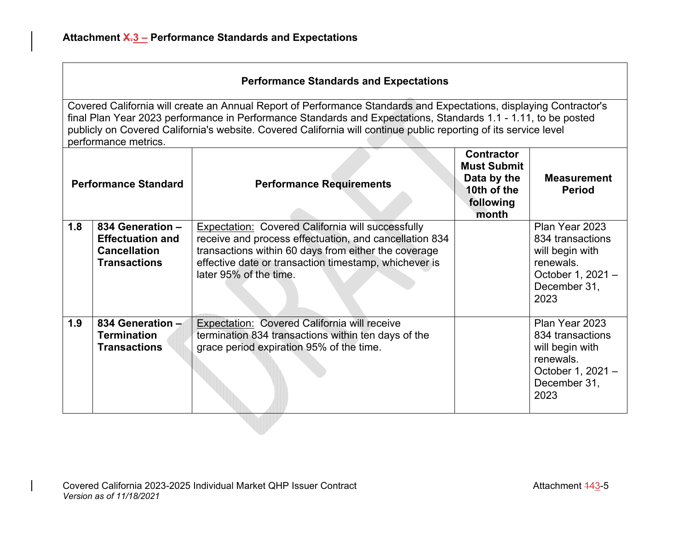| <b>Performance Standard</b> |                                                                                           | <b>Performance Requirements</b>                                                                                                                                                                                                                        | <b>Contractor</b><br><b>Must Submit</b><br>Data by the<br>10th of the<br>following<br>month | <b>Measurement</b><br><b>Period</b>                                                                             |
|-----------------------------|-------------------------------------------------------------------------------------------|--------------------------------------------------------------------------------------------------------------------------------------------------------------------------------------------------------------------------------------------------------|---------------------------------------------------------------------------------------------|-----------------------------------------------------------------------------------------------------------------|
| 1.8                         | 834 Generation -<br><b>Effectuation and</b><br><b>Cancellation</b><br><b>Transactions</b> | Expectation: Covered California will successfully<br>receive and process effectuation, and cancellation 834<br>transactions within 60 days from either the coverage<br>effective date or transaction timestamp, whichever is<br>later 95% of the time. |                                                                                             | Plan Year 2023<br>834 transactions<br>will begin with<br>renewals.<br>October 1, 2021 -<br>December 31,<br>2023 |
| 1.9                         | 834 Generation -<br><b>Termination</b><br><b>Transactions</b>                             | Expectation: Covered California will receive<br>termination 834 transactions within ten days of the<br>grace period expiration 95% of the time.                                                                                                        |                                                                                             | Plan Year 2023<br>834 transactions<br>will begin with<br>renewals.<br>October 1, 2021 -<br>December 31,<br>2023 |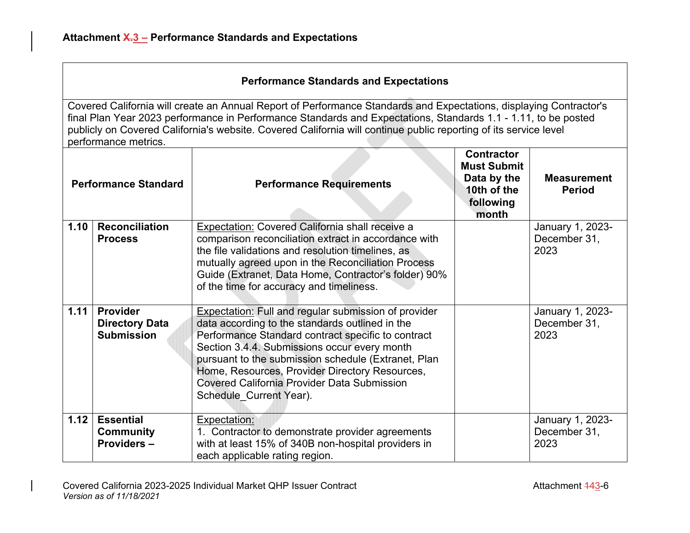| <b>Performance Standard</b> |                                                               | <b>Performance Requirements</b>                                                                                                                                                                                                                                                                                                                                                                                | <b>Contractor</b><br><b>Must Submit</b><br>Data by the<br>10th of the<br>following<br>month | <b>Measurement</b><br><b>Period</b>      |
|-----------------------------|---------------------------------------------------------------|----------------------------------------------------------------------------------------------------------------------------------------------------------------------------------------------------------------------------------------------------------------------------------------------------------------------------------------------------------------------------------------------------------------|---------------------------------------------------------------------------------------------|------------------------------------------|
| 1.10                        | <b>Reconciliation</b><br><b>Process</b>                       | <b>Expectation: Covered California shall receive a</b><br>comparison reconciliation extract in accordance with<br>the file validations and resolution timelines, as<br>mutually agreed upon in the Reconciliation Process<br>Guide (Extranet, Data Home, Contractor's folder) 90%<br>of the time for accuracy and timeliness.                                                                                  |                                                                                             | January 1, 2023-<br>December 31,<br>2023 |
| 1.11                        | <b>Provider</b><br><b>Directory Data</b><br><b>Submission</b> | <b>Expectation: Full and regular submission of provider</b><br>data according to the standards outlined in the<br>Performance Standard contract specific to contract<br>Section 3.4.4. Submissions occur every month<br>pursuant to the submission schedule (Extranet, Plan<br>Home, Resources, Provider Directory Resources,<br><b>Covered California Provider Data Submission</b><br>Schedule Current Year). |                                                                                             | January 1, 2023-<br>December 31,<br>2023 |
| 1.12                        | <b>Essential</b><br><b>Community</b><br>Providers-            | Expectation:<br>1. Contractor to demonstrate provider agreements<br>with at least 15% of 340B non-hospital providers in<br>each applicable rating region.                                                                                                                                                                                                                                                      |                                                                                             | January 1, 2023-<br>December 31,<br>2023 |